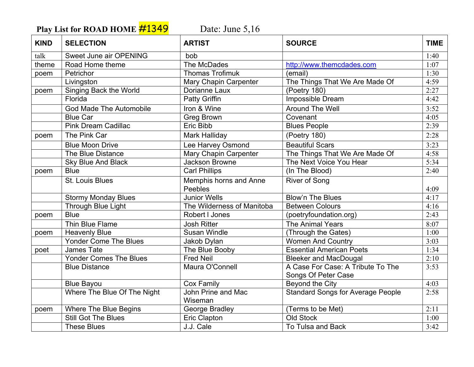Play List for ROAD HOME **#1349** Date: June 5,16

| <b>KIND</b> | <b>SELECTION</b>               | <b>ARTIST</b>              | <b>SOURCE</b>                            | <b>TIME</b> |
|-------------|--------------------------------|----------------------------|------------------------------------------|-------------|
| talk        | Sweet June air OPENING         | bob                        |                                          | 1:40        |
| theme       | Road Home theme                | The McDades                | http://www.themcdades.com                | 1:07        |
| poem        | Petrichor                      | <b>Thomas Trofimuk</b>     | (email)                                  | 1:30        |
|             | Livingston                     | Mary Chapin Carpenter      | The Things That We Are Made Of           | 4:59        |
| poem        | Singing Back the World         | Dorianne Laux              | (Poetry 180)                             | 2:27        |
|             | Florida                        | Patty Griffin              | Impossible Dream                         | 4:42        |
|             | <b>God Made The Automobile</b> | Iron & Wine                | <b>Around The Well</b>                   | 3:52        |
|             | <b>Blue Car</b>                | <b>Greg Brown</b>          | Covenant                                 | 4:05        |
|             | <b>Pink Dream Cadillac</b>     | Eric Bibb                  | <b>Blues People</b>                      | 2:39        |
| poem        | The Pink Car                   | Mark Halliday              | (Poetry 180)                             | 2:28        |
|             | <b>Blue Moon Drive</b>         | Lee Harvey Osmond          | <b>Beautiful Scars</b>                   | 3:23        |
|             | The Blue Distance              | Mary Chapin Carpenter      | The Things That We Are Made Of           | 4:58        |
|             | <b>Sky Blue And Black</b>      | <b>Jackson Browne</b>      | The Next Voice You Hear                  | 5:34        |
| poem        | <b>Blue</b>                    | <b>Carl Phillips</b>       | (In The Blood)                           | 2:40        |
|             | St. Louis Blues                | Memphis horns and Anne     | <b>River of Song</b>                     |             |
|             |                                | Peebles                    |                                          | 4:09        |
|             | <b>Stormy Monday Blues</b>     | <b>Junior Wells</b>        | <b>Blow'n The Blues</b>                  | 4:17        |
|             | <b>Through Blue Light</b>      | The Wilderness of Manitoba | <b>Between Colours</b>                   | 4:16        |
| poem        | <b>Blue</b>                    | Robert I Jones             | (poetryfoundation.org)                   | 2:43        |
|             | Thin Blue Flame                | <b>Josh Ritter</b>         | <b>The Animal Years</b>                  | 8:07        |
| poem        | <b>Heavenly Blue</b>           | Susan Windle               | (Through the Gates)                      | 1:00        |
|             | <b>Yonder Come The Blues</b>   | Jakob Dylan                | <b>Women And Country</b>                 | 3:03        |
| poet        | James Tate                     | The Blue Booby             | <b>Essential American Poets</b>          | 1:34        |
|             | <b>Yonder Comes The Blues</b>  | <b>Fred Neil</b>           | <b>Bleeker and MacDougal</b>             | 2:10        |
|             | <b>Blue Distance</b>           | Maura O'Connell            | A Case For Case: A Tribute To The        | 3:53        |
|             |                                |                            | Songs Of Peter Case                      |             |
|             | <b>Blue Bayou</b>              | <b>Cox Family</b>          | Beyond the City                          | 4:03        |
|             | Where The Blue Of The Night    | John Prine and Mac         | <b>Standard Songs for Average People</b> | 2:58        |
|             |                                | Wiseman                    |                                          |             |
| poem        | <b>Where The Blue Begins</b>   | George Bradley             | (Terms to be Met)                        | 2:11        |
|             | <b>Still Got The Blues</b>     | Eric Clapton               | <b>Old Stock</b>                         | 1:00        |
|             | <b>These Blues</b>             | J.J. Cale                  | To Tulsa and Back                        | 3:42        |